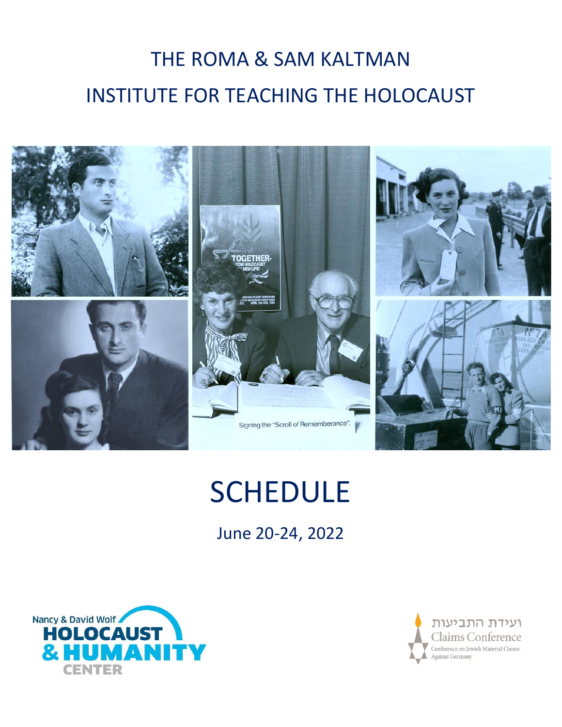# THE ROMA & SAM KALTMAN INSTITUTE FOR TEACHING THE HOLOCAUST



# **SCHEDULE**

June 20-24, 2022



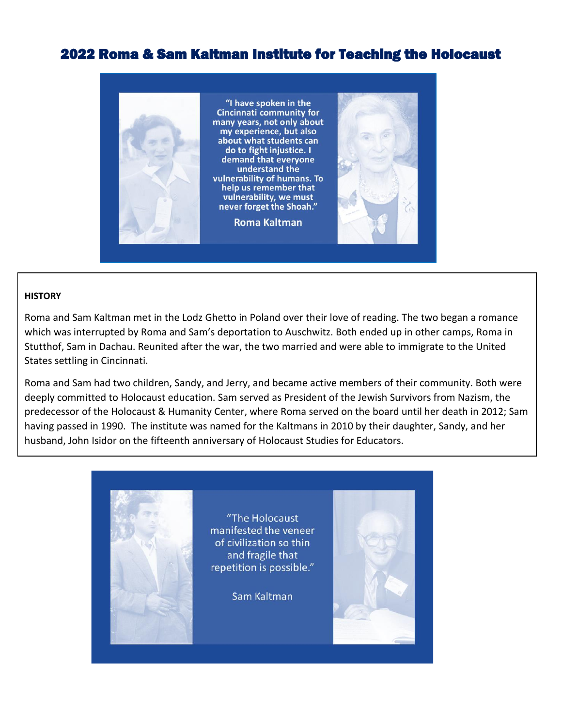## 2022 Roma & Sam Kaltman Institute for Teaching the Holocaust



#### **HISTORY**

Roma and Sam Kaltman met in the Lodz Ghetto in Poland over their love of reading. The two began a romance which was interrupted by Roma and Sam's deportation to Auschwitz. Both ended up in other camps, Roma in Stutthof, Sam in Dachau. Reunited after the war, the two married and were able to immigrate to the United States settling in Cincinnati.

Roma and Sam had two children, Sandy, and Jerry, and became active members of their community. Both were deeply committed to Holocaust education. Sam served as President of the Jewish Survivors from Nazism, the predecessor of the Holocaust & Humanity Center, where Roma served on the board until her death in 2012; Sam having passed in 1990. The institute was named for the Kaltmans in 2010 by their daughter, Sandy, and her husband, John Isidor on the fifteenth anniversary of Holocaust Studies for Educators.

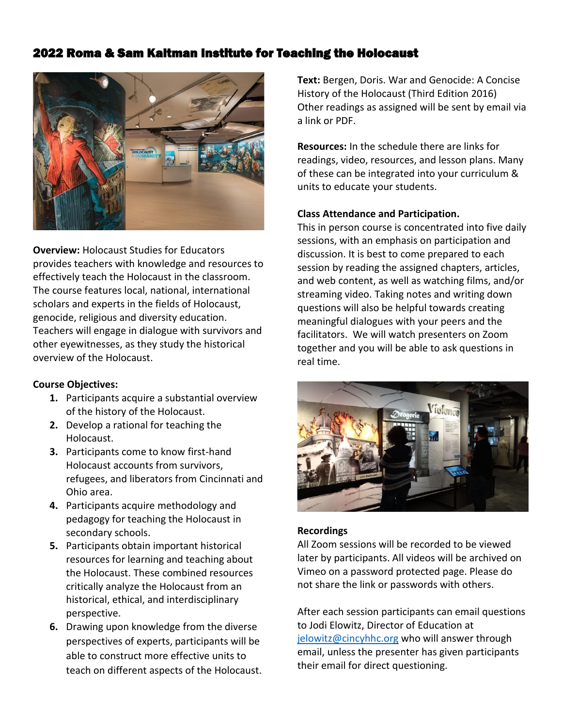### 2022 Roma & Sam Kaltman Institute for Teaching the Holocaust



**Overview:** Holocaust Studies for Educators provides teachers with knowledge and resources to effectively teach the Holocaust in the classroom. The course features local, national, international scholars and experts in the fields of Holocaust, genocide, religious and diversity education. Teachers will engage in dialogue with survivors and other eyewitnesses, as they study the historical overview of the Holocaust.

#### **Course Objectives:**

- **1.** Participants acquire a substantial overview of the history of the Holocaust.
- **2.** Develop a rational for teaching the Holocaust.
- **3.** Participants come to know first-hand Holocaust accounts from survivors, refugees, and liberators from Cincinnati and Ohio area.
- **4.** Participants acquire methodology and pedagogy for teaching the Holocaust in secondary schools.
- **5.** Participants obtain important historical resources for learning and teaching about the Holocaust. These combined resources critically analyze the Holocaust from an historical, ethical, and interdisciplinary perspective.
- **6.** Drawing upon knowledge from the diverse perspectives of experts, participants will be able to construct more effective units to teach on different aspects of the Holocaust.

**Text:** Bergen, Doris. War and Genocide: A Concise History of the Holocaust (Third Edition 2016) Other readings as assigned will be sent by email via a link or PDF.

**Resources:** In the schedule there are links for readings, video, resources, and lesson plans. Many of these can be integrated into your curriculum & units to educate your students.

#### **Class Attendance and Participation.**

This in person course is concentrated into five daily sessions, with an emphasis on participation and discussion. It is best to come prepared to each session by reading the assigned chapters, articles, and web content, as well as watching films, and/or streaming video. Taking notes and writing down questions will also be helpful towards creating meaningful dialogues with your peers and the facilitators. We will watch presenters on Zoom together and you will be able to ask questions in real time.



#### **Recordings**

All Zoom sessions will be recorded to be viewed later by participants. All videos will be archived on Vimeo on a password protected page. Please do not share the link or passwords with others.

After each session participants can email questions to Jodi Elowitz, Director of Education at [jelowitz@cincyhhc.org](file://///HCDC/CHHE/Education/HSE%20Holocaust%20Studies%20for%20Educators%20and%20Tools/HSE%20Summer%202021/Schedule/jelowitz@cincyhhc.org%20) who will answer through email, unless the presenter has given participants their email for direct questioning.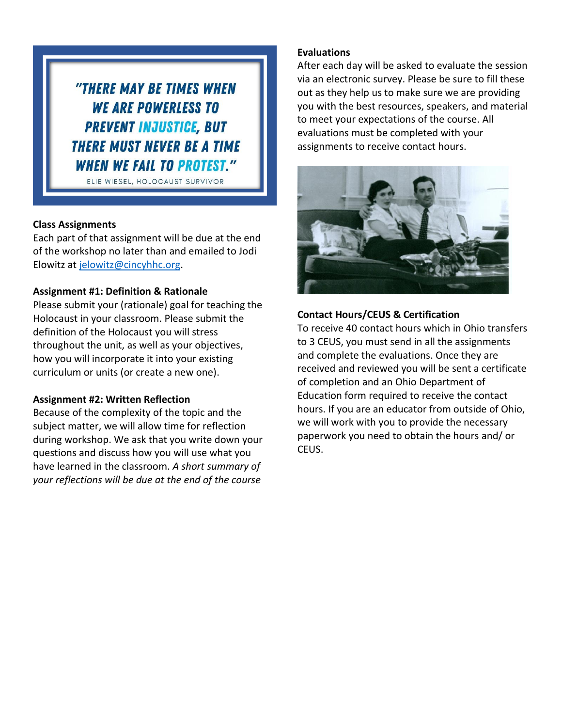"THERE MAY BE TIMES WHEN **WE ARE POWERLESS TO PREVENT INJUSTICE, BUT THERE MUST NEVER BE A TIME WHEN WE FAIL TO PROTEST."** 

ELIE WIESEL, HOLOCAUST SURVIVOR

#### **Class Assignments**

Each part of that assignment will be due at the end of the workshop no later than and emailed to Jodi Elowitz at [jelowitz@cincyhhc.org.](mailto:jelowitz@cincyhhc.org)

#### **Assignment #1: Definition & Rationale**

Please submit your (rationale) goal for teaching the Holocaust in your classroom. Please submit the definition of the Holocaust you will stress throughout the unit, as well as your objectives, how you will incorporate it into your existing curriculum or units (or create a new one).

#### **Assignment #2: Written Reflection**

Because of the complexity of the topic and the subject matter, we will allow time for reflection during workshop. We ask that you write down your questions and discuss how you will use what you have learned in the classroom. *A short summary of your reflections will be due at the end of the course*

#### **Evaluations**

After each day will be asked to evaluate the session via an electronic survey. Please be sure to fill these out as they help us to make sure we are providing you with the best resources, speakers, and material to meet your expectations of the course. All evaluations must be completed with your assignments to receive contact hours.



#### **Contact Hours/CEUS & Certification**

To receive 40 contact hours which in Ohio transfers to 3 CEUS, you must send in all the assignments and complete the evaluations. Once they are received and reviewed you will be sent a certificate of completion and an Ohio Department of Education form required to receive the contact hours. If you are an educator from outside of Ohio, we will work with you to provide the necessary paperwork you need to obtain the hours and/ or CEUS.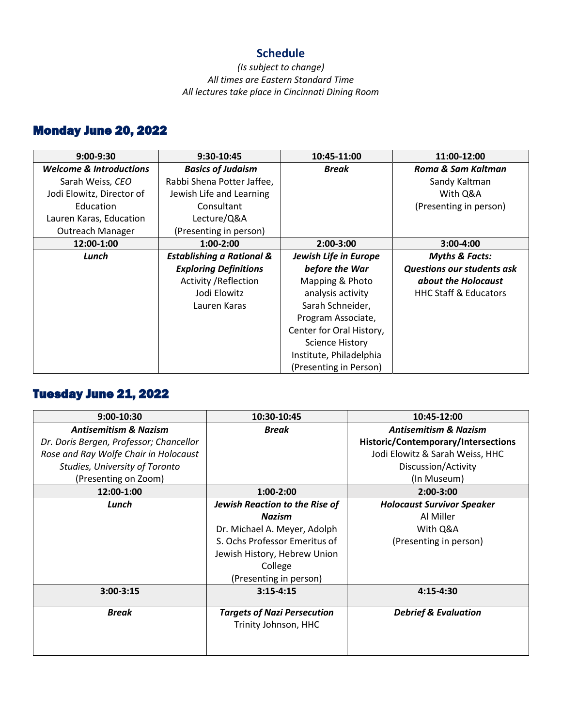### **Schedule**

#### *(Is subject to change) All times are Eastern Standard Time All lectures take place in Cincinnati Dining Room*

# Monday June 20, 2022

| $9:00-9:30$                        | 9:30-10:45                           | 10:45-11:00              | 11:00-12:00                       |
|------------------------------------|--------------------------------------|--------------------------|-----------------------------------|
| <b>Welcome &amp; Introductions</b> | <b>Basics of Judaism</b>             | <b>Break</b>             | Roma & Sam Kaltman                |
| Sarah Weiss, CEO                   | Rabbi Shena Potter Jaffee,           |                          | Sandy Kaltman                     |
| Jodi Elowitz, Director of          | Jewish Life and Learning             |                          | With Q&A                          |
| Education                          | Consultant                           |                          | (Presenting in person)            |
| Lauren Karas, Education            | Lecture/Q&A                          |                          |                                   |
| Outreach Manager                   | (Presenting in person)               |                          |                                   |
| 12:00-1:00                         | $1:00-2:00$                          | $2:00-3:00$              | $3:00-4:00$                       |
| Lunch                              | <b>Establishing a Rational &amp;</b> | Jewish Life in Europe    | <b>Myths &amp; Facts:</b>         |
|                                    | <b>Exploring Definitions</b>         | before the War           | <b>Questions our students ask</b> |
|                                    | <b>Activity / Reflection</b>         | Mapping & Photo          | about the Holocaust               |
|                                    | Jodi Elowitz                         | analysis activity        | <b>HHC Staff &amp; Educators</b>  |
|                                    | Lauren Karas                         | Sarah Schneider,         |                                   |
|                                    |                                      | Program Associate,       |                                   |
|                                    |                                      | Center for Oral History, |                                   |
|                                    |                                      | <b>Science History</b>   |                                   |
|                                    |                                      | Institute, Philadelphia  |                                   |
|                                    |                                      | (Presenting in Person)   |                                   |

## Tuesday June 21, 2022

| 9:00-10:30                              | 10:30-10:45                        | 10:45-12:00                         |
|-----------------------------------------|------------------------------------|-------------------------------------|
| <b>Antisemitism &amp; Nazism</b>        | <b>Break</b>                       | <b>Antisemitism &amp; Nazism</b>    |
| Dr. Doris Bergen, Professor; Chancellor |                                    | Historic/Contemporary/Intersections |
| Rose and Ray Wolfe Chair in Holocaust   |                                    | Jodi Elowitz & Sarah Weiss, HHC     |
| Studies, University of Toronto          |                                    | Discussion/Activity                 |
| (Presenting on Zoom)                    |                                    | (In Museum)                         |
| 12:00-1:00                              | $1:00-2:00$                        | 2:00-3:00                           |
| Lunch                                   | Jewish Reaction to the Rise of     | <b>Holocaust Survivor Speaker</b>   |
|                                         | <b>Nazism</b>                      | Al Miller                           |
|                                         | Dr. Michael A. Meyer, Adolph       | With Q&A                            |
|                                         | S. Ochs Professor Emeritus of      | (Presenting in person)              |
|                                         | Jewish History, Hebrew Union       |                                     |
|                                         | College                            |                                     |
|                                         | (Presenting in person)             |                                     |
| $3:00 - 3:15$                           | $3:15 - 4:15$                      | 4:15-4:30                           |
| <b>Break</b>                            | <b>Targets of Nazi Persecution</b> | <b>Debrief &amp; Evaluation</b>     |
|                                         | Trinity Johnson, HHC               |                                     |
|                                         |                                    |                                     |
|                                         |                                    |                                     |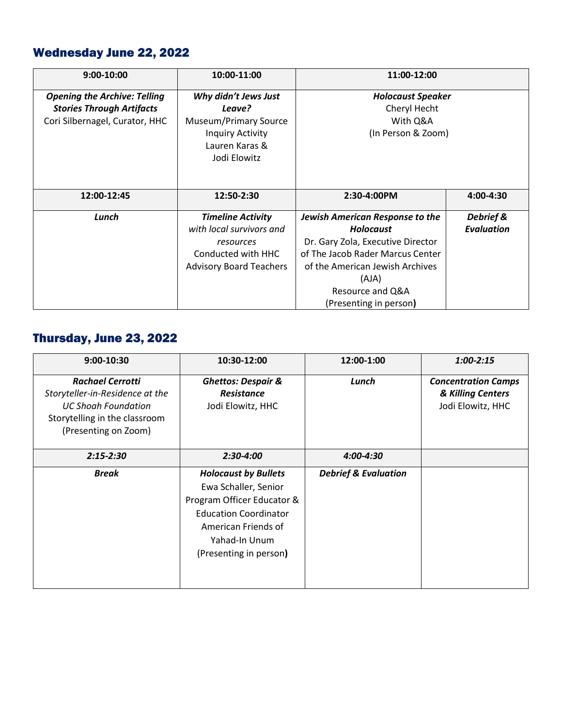# Wednesday June 22, 2022

| 9:00-10:00                                                                                                | 10:00-11:00                                                                                                               | 11:00-12:00                                                                                                                                                                                                                   |                                |
|-----------------------------------------------------------------------------------------------------------|---------------------------------------------------------------------------------------------------------------------------|-------------------------------------------------------------------------------------------------------------------------------------------------------------------------------------------------------------------------------|--------------------------------|
| <b>Opening the Archive: Telling</b><br><b>Stories Through Artifacts</b><br>Cori Silbernagel, Curator, HHC | Why didn't Jews Just<br>Leave?<br>Museum/Primary Source<br><b>Inquiry Activity</b><br>Lauren Karas &<br>Jodi Elowitz      | <b>Holocaust Speaker</b><br>Cheryl Hecht<br>With Q&A<br>(In Person & Zoom)                                                                                                                                                    |                                |
| 12:00-12:45                                                                                               | 12:50-2:30                                                                                                                | 2:30-4:00PM                                                                                                                                                                                                                   | 4:00-4:30                      |
| Lunch                                                                                                     | <b>Timeline Activity</b><br>with local survivors and<br>resources<br>Conducted with HHC<br><b>Advisory Board Teachers</b> | <b>Jewish American Response to the</b><br><b>Holocaust</b><br>Dr. Gary Zola, Executive Director<br>of The Jacob Rader Marcus Center<br>of the American Jewish Archives<br>(AJA)<br>Resource and Q&A<br>(Presenting in person) | Debrief &<br><b>Evaluation</b> |

# Thursday, June 23, 2022

| 9:00-10:30                                                                                                                                        | 10:30-12:00                                                                                                                                                                         | 12:00-1:00                      | $1:00 - 2:15$                                                        |
|---------------------------------------------------------------------------------------------------------------------------------------------------|-------------------------------------------------------------------------------------------------------------------------------------------------------------------------------------|---------------------------------|----------------------------------------------------------------------|
| <b>Rachael Cerrotti</b><br>Storyteller-in-Residence at the<br><b>UC Shoah Foundation</b><br>Storytelling in the classroom<br>(Presenting on Zoom) | <b>Ghettos: Despair &amp;</b><br><b>Resistance</b><br>Jodi Elowitz, HHC                                                                                                             | Lunch                           | <b>Concentration Camps</b><br>& Killing Centers<br>Jodi Elowitz, HHC |
| $2:15 - 2:30$                                                                                                                                     | $2:30-4:00$                                                                                                                                                                         | 4:00-4:30                       |                                                                      |
| <b>Break</b>                                                                                                                                      | <b>Holocaust by Bullets</b><br>Ewa Schaller, Senior<br>Program Officer Educator &<br><b>Education Coordinator</b><br>American Friends of<br>Yahad-In Unum<br>(Presenting in person) | <b>Debrief &amp; Evaluation</b> |                                                                      |